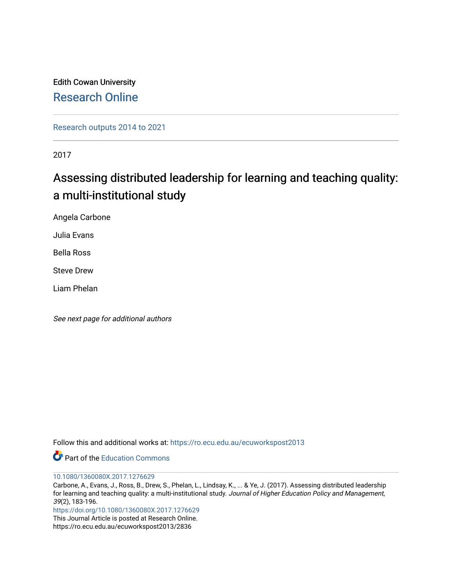Edith Cowan University [Research Online](https://ro.ecu.edu.au/) 

[Research outputs 2014 to 2021](https://ro.ecu.edu.au/ecuworkspost2013) 

2017

## Assessing distributed leadership for learning and teaching quality: a multi-institutional study

Angela Carbone

Julia Evans

Bella Ross

Steve Drew

Liam Phelan

See next page for additional authors

Follow this and additional works at: [https://ro.ecu.edu.au/ecuworkspost2013](https://ro.ecu.edu.au/ecuworkspost2013?utm_source=ro.ecu.edu.au%2Fecuworkspost2013%2F2836&utm_medium=PDF&utm_campaign=PDFCoverPages) 



[10.1080/1360080X.2017.1276629](http://dx.doi.org/10.1080/1360080X.2017.1276629) 

Carbone, A., Evans, J., Ross, B., Drew, S., Phelan, L., Lindsay, K., ... & Ye, J. (2017). Assessing distributed leadership for learning and teaching quality: a multi-institutional study. Journal of Higher Education Policy and Management, 39(2), 183-196.

<https://doi.org/10.1080/1360080X.2017.1276629>

This Journal Article is posted at Research Online. https://ro.ecu.edu.au/ecuworkspost2013/2836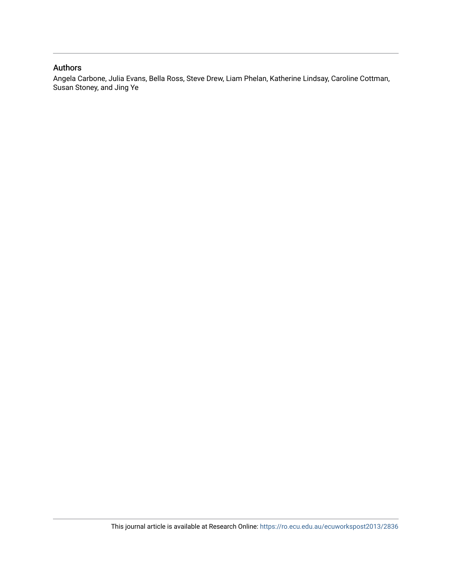### Authors

Angela Carbone, Julia Evans, Bella Ross, Steve Drew, Liam Phelan, Katherine Lindsay, Caroline Cottman, Susan Stoney, and Jing Ye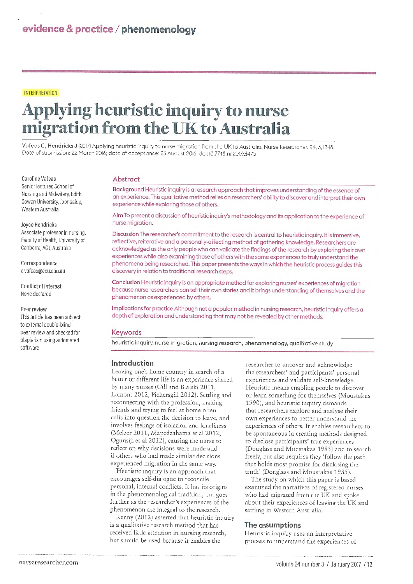#### INTERPRETATION

# **Applying heuristic inquiry to nurse migration from the UK to Australia**

Vafeas C, Hendricks J (2017) Applying heuristic inquiry to nurse migration from the UK to Australia. Nurse Researcher. 24, 3, 13-18. Date of submission: 22 March 2016; date of acceptance: 23 August 2016. doi: I0.7748.nr.2017.el475

Caroline Vafeas Senior lecturer, School of Nursing and Midwifery, Edith Cowan University, Joondalup, Western Australia

#### Joyce Hendricks

Associate professor in nursing, Faculty of Health, University of Canberra, ACT, Australia

Correspondence c.vafeas@ecu.edu.au

Conflict of interest None declared

#### **Peer review**

This article has been subject to external double-blind peer review and checked for plagiarism using automated software

#### **Abstract**

Background Heuristic inquiry is a research approach that improves understanding of the essence of an experience. This qualitative method relies on researchers' ability to discover and interpret their own experience while exploring those of others.

**Aim** To present a discussion of heuristic inquiry's methodology and its application to the experience of nurse migration.

Discussion The researcher's commitment to the research is central to heuristic inquiry. It is immersive, reflective, reiterative and a personally-affecting method of gathering knowledge. Researchers are acknowledged as the only people who can validate the findings of the research by exploring their own experiences while also examining those of others with the same experiences to truly understand the phenomena being researched. This paper presents the ways in which the heuristic process guides this discovery in relation to traditional research steps.

Conclusion Heuristic inquiry is an appropriate method for exploring nurses' experiences of migration because nurse researchers can tell their own stories and it brings understanding of themselves and the phenomenon as experienced by others.

Implications for practice Although not a popular method in nursing research, heuristic inquiry offers a depth of exploration and understanding that may not be revealed by other methods.

#### Keywords

heuristic inquiry, nurse migration, nursing research, phenomenology, qualitative study

#### **Introduction**

Leaving one's home country in search of a better or different life is an experience shared by many nurses (Gill and Bialski 2011, Lamont 2012, Pickersgill 2012). Settling and reconnecting with the profession, making friends and trying to feel at home often calls into question the decision to leave, and involves feelings of isolation and loneliness (Melzer 2011, Mapedzahama et al 2012, Ogunsiji et al 2012), causing the nurse to reflect on why decisions were made and if others who had made similar decisions experienced migration in the same way.

Heuristic inquiry is an approach that encourages self-dialogue to reconcile personal, internal conflicts. It has its origins in the phenomenological tradition, but goes further as the researcher's experiences of the phenomenon are integral to the research.

Kenny (2012) asserted that heuristic inquiry is a qualitative research method that has received little attention in nursing research, but should be used because it enables the

researcher to uncover and acknowledge the researchers' and participants' personal experiences and validate self-knowledge. Heuristic means enabling people to discover or learn something for themselves (Moustakas 1990), and heuristic inquiry demands that researchers explore and analyse their own experiences to better understand the experiences of others. It enables researchers to be spontaneous in creating methods designed to disclose participants' true experiences (Douglass and Moustakas 1985) and to search freely, but also requires they 'follow the path that holds most promise for disclosing the truth' (Douglass and Moustakas 1985).

The study on which this paper is based examined the narratives of registered nurses who had migrated from the UK and spoke about their experiences of leaving the UK and settling in Western Australia.

#### **The assumptions**

Heuristic inquiry uses an interpretative process to understand the experiences of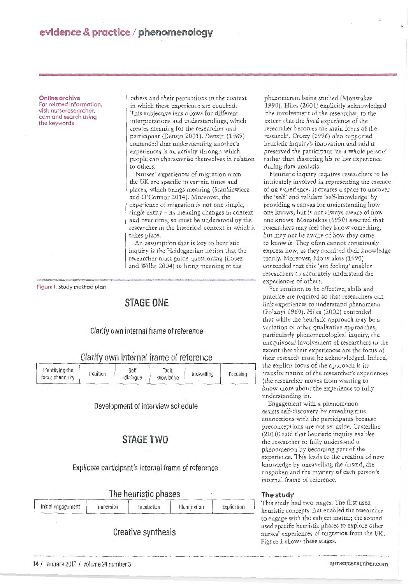### **evidence & practice/ phenomenology**

**Online archive**  For related information, visit nurseresearcher. com and search using the keywords

others and their perceptions in the context in which these experience are couched. This subjective lens allows for different interpretations and understandings, which creates meaning for the researcher and participant (Denzin 2001). Denzin (1989) contended that understanding another's experiences is an activity through which people can characterise themselves in relation to others.

Nurses' experiences of migration from the UK are specific to certain times and places, which brings meaning (Stankiewiecz and O'Connor 2014). Moreover, the experience of migration is not one simple, single entity - its meaning changes in context and over time, so must be understood by the researcher in the historical context in which it takes place.

An assumption that is key to heuristic inquiry is the Heideggerian notion that the researcher must guide questioning (Lopez and Willis 2004) to bring meaning to the

**Figure** I. Study method plan

### **STAGE ONE**

#### Clarify own internal frame of reference

#### Clarify own internal frame of reference

| Identifying the<br>Self<br>Tacit<br>Intuition<br>Indwelling<br>Focusing<br>-dialogue<br>focus of enquiry<br>knowledge |
|-----------------------------------------------------------------------------------------------------------------------|
|-----------------------------------------------------------------------------------------------------------------------|

Development of interview schedule

### **STAGE TWO**

Explicate participant's internal frame of reference

| Initial engagement | Immersion | Incubation | Illumination | Explication |
|--------------------|-----------|------------|--------------|-------------|
|--------------------|-----------|------------|--------------|-------------|

Creative synthesis

phenomenon being studied (Moustakas 1990). Hiles (2001) explicitly acknowledged 'the involvement of the researcher, to the extent that the lived experience of the researcher becomes the main focus of the research'. Crotty (1996) also supported heuristic inquiry's innovation and said it preserved the participant 'as a whole person' rather than dissecting his or her experience during data analysis.

Heuristic inquiry requires researchers to be intricately involved in representing the essence of an experience. It creates a space to uncover the 'self' and validate 'self-knowledge' by providing a canvas for understanding how one knows, but is not always aware of how one knows. Moustakas (1990) asserted that researchers may feel they know something, but may not be aware of how they came to know it. They often cannot consciously express how, as they acquired their knowledge tacitly. Moreover, Moustakas (1990) contended that this 'gut feeling' enables researchers to accurately understand the experiences of others.

For intuition to be effective, skills and practice are required so that researchers can link experiences to understand phenomena (Polanyi 1969). Hiles (2002) contended that while the heuristic approach may be a variation of other qualitative approaches, particularly phenomenological inquiry, the unequivocal involvement of researchers to the extent that their experiences are the focus of their research must be acknowledged. Indeed, the explicit focus of the approach is its transformation of the researcher's experiences (the researcher moves from wanting to know more about the experience to fully understanding it).

Engagement with a phenomenon assists self-discovery by revealing true . connections with the participants because preconceptions are not set aside. Casterline (2010) said that heuristic inquiry enables the researcher to fully understand a phenomenon by becoming part of the experience. This leads to the creation of new knowledge by unravelling the unsaid, the unspoken and the mystery of each person's internal frame of reference.

#### **The study**

This study had two stages. The first used heuristic concepts that enabled the researcher to engage with the subject matter; the second used specific heuristic phases to explore other nurses' experiences of migration from the UK. Figure 1 shows these stages.

**14** I January 2017 / volume 24 number 3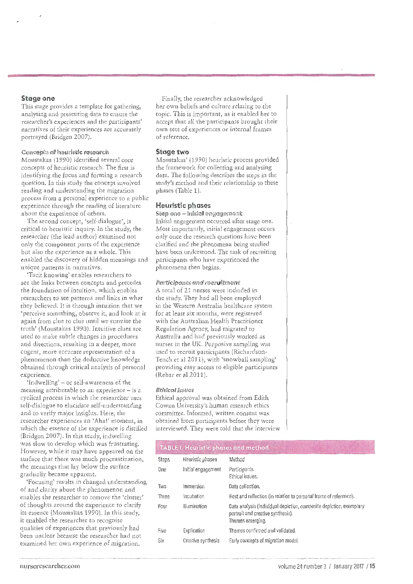#### **Stage one**

This stage provides a template for gathering, analysing and presenting data to ensure the researcher's experiences and the participants' narratives of their experiences are accurately portrayed (Bridgen 2007).

#### **Concepts of; heuristic research**

Moustakas (1990) identified several core concepts of heuristic research. The first is identifying the focus and forming a research question. In this study the concept involved reading and understanding the migration process from a personal experience to a public experience through the reading of literature about the experience of others.

The second concept, 'self-dialogue', is critical to heuristic inquiry. In the study, the researcher (the lead author) examined not only the component parts of the experience but also the experience as a whole. This enabled the discovery of hidden meanings and unique patterns in narratives.

'Tacit knowing' enables researchers to see the links between concepts and precedes the foundation of intuition, which enables researchers to see patterns and links in what they believed. It is through intuition that we 'perceive something, observe it, and look at it again from clue to clue until we surmise the truth' (Moustakas 1990). Intuitive clues are used to make subtle changes in procedures and directions, resulting in a deeper, more cogent, more accurate representation of a phenomenon than the deductive knowledge obtained through critical analysis of personal experience.

'Indwelling' - or self-awareness of the meaning attributable to an experience - is a cyclical process in which the researcher uses self-dialogue to elucidate self-understanding and to verify major insights. Here, the researcher experiences an 'Aha!' moment, in which the essence of the experience is distilled (Bridgen 2007). In this study, indwelling was slow to develop which was frustrating. However, while it may have appeared on the surface that there was much procrastination, the meanings that lay below the surface gradually became apparent.

'Focusing' results in changed understanding of and clarity about the phenomenon and enables the researcher to remove the 'clutter' of thoughts around the experience to clarify its essence (Moustakas 1990). In this study, it enabled the researcher to recognise qualities of experiences that previously had been unclear because the researcher had not examined her own experience of migration.

Finally, the researcher acknowledged her own beliefs and culture relating to the topic. This is important, as it enabled her to accept that all the participants brought their own sets of experiences or internal frames of reference.

#### **Stage two**

Moustakas' (1990) heuristic process provided the framework for collecting and analysing data. The following describes the steps in the study's method and their relationship to these phases (Table 1).

#### **Heuristic phases**

**Step one - initial engagement**  Initial engagement occurred after stage one. Most importantly, initial engagement occurs only once the research questions have been clarified and the phenomena being studied have been understood. The task of recruiting participants who have experienced the phenomena then begins.

#### *Participants and recruitment*

A total of 21 nurses were included in the study. They had all been employed in the Western Australia healthcare system for at least six months, were registered with the Australian Health Practitioner Regulation Agency, had migrated to Australia and had previously worked as nurses in the UK. Purposive sampling was used to recruit participants (Richardson-Tench et al 2011), with 'snowball sampling' providing easy access to eligible participants (Rebar et al 2011).

#### *Ethical issues*

Ethical approval was obtained from Edith Cowan University's human research ethics committee. Informed, written consent was obtained from participants before they were interviewed. They were told that the interview

| <b>TABLE I. Heuristic phases and method</b> |                    |                                                                                                                              |  |  |  |
|---------------------------------------------|--------------------|------------------------------------------------------------------------------------------------------------------------------|--|--|--|
| Steps                                       | Heuristic phases   | Method                                                                                                                       |  |  |  |
| 0ne                                         | Initial engagement | Participants.<br>Ethical issues.                                                                                             |  |  |  |
| Two                                         | Immersion          | Data collection.                                                                                                             |  |  |  |
| Three                                       | Incubation         | Rest and reflection (in relation to personal frame of reference).                                                            |  |  |  |
| Four                                        | Illumination       | Data analysis (individual depiction, composite depiction, exemplary<br>portrait and creative synthesis).<br>Themes emerging. |  |  |  |
| Five                                        | Explication        | Themes confirmed and validated.                                                                                              |  |  |  |
| Six                                         | Creative synthesis | Early concepts of migration model.                                                                                           |  |  |  |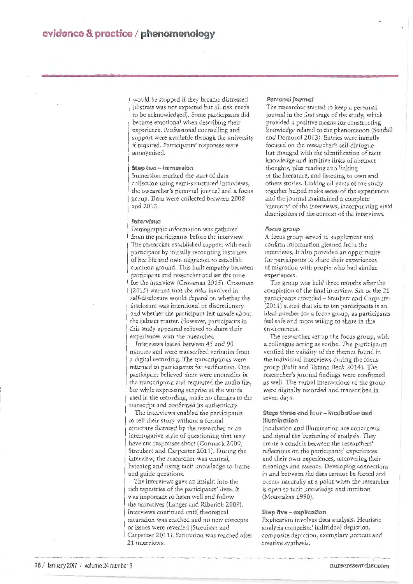would be stopped if they became distressed (distress was not expected but all risk needs to be acknowledged). Some participants did become emotional when describing their experience. Professional counselling and support were available through the university if required. Participants' responses were anonymised.

#### **Step two** - **immersion**

Immersion marked the start of data collection using semi-structured interviews, the researcher's personal journal and a focus group. Data were collected between 2008 and 2013.

#### **Interviews**

Demographic information was gathered from the participants before the interview. The researcher established rapport with each participant by initially recounting instances of her life and own migration to establish common ground. This built empathy between participant and researcher and set the tone for the interview (Crossman 2015). Crossman (2015) warned that the risks involved in self-disclosure would depend on whether the disclosure was intentional or discretionary and whether the participant felt unsafe about the subject matter. However, participants *in*  this study appeared relieved to share their experiences with the researcher.

Interviews lasted between 45 and 90 minutes and were transcribed verbatim from a digital recording. The transcriptions were returned to participants for verification. One participant believed there were anomalies in the transcription and requested the audio file, but while expressing surprise at the words used in the recording, made no changes to the transcript and confirmed its authenticity.

The interviews enabled the participants to tell their story without a formal structure dictated by the researcher or an interrogative style of questioning that may have cut responses short (Cormack 2000, Streubert and Carpenter 2011). During the interview, the researcher was central, listening and using tacit knowledge to frame and guide questions.

The interviews gave an insight into the rich tapestries of the participants' lives. It was important to listen well and follow the narratives (Langer and Ribarich 2009). Interviews continued until theoretical saturation was reached and no new concepts or issues were revealed (Streubert and Carpenter 2011). Saturation was reached after 21 interviews.

#### **Personal journal**

The researcher started to keep a personal journal in the first stage of the study, which provided a positive means for constructing knowledge related to the phenomenon (Sendai! and Domocol 2013). Entries were initially focused on the researcher's self-dialogue but changed with the identification of tacit knowledge and intuitive links of abstract thoughts, plus reading and linking of the literature, and listening to own and others stories. Linking all parts of the study together helped make sense of the experiences and the journal maintained a complete 'memory' of the interviews, incorporating vivid descriptions of the context of the interviews.

#### **Focus group**

A focus group served to supplement and confirm information gleaned from the interviews. It also provided an opportunity for participants to share their experiences of migration with people who had similar experiences.

The group was held three months after the completion of the final interview. Six of the 21 participants attended - Steubert and Carpenter (2011) stated that six to ten participants is an ideal number for a focus group, as participants feel safe and more willing to share in this environment.

The researcher set up the focus group, with a colleague acting as scribe. The participants verified the validity of the themes found in the individual interviews during the focus group (Polit and Tatano Beck 2014). The researcher's journal findings were confirmed as well. The verbal interactions of the group were digitally recorded and transcribed in seven days.

#### **Steps three and four** - **incubation and illumination**

Incubation and illumination are concurrent and signal the beginning of analysis. They create a conduit between the researchers' reflections on the participants' experiences and their own experiences, uncovering their meanings and essence. Developing connections in and between the data cannot be forced and occurs naturally at a point when the researcher is open to tacit knowledge and intuition (Moustakas 1990).

#### **Si:ep five** - **explication**

Explication involves data analysis. Heuristic analysis comprised individual depiction, composite depiction, exemplary portrait and creative synthesis.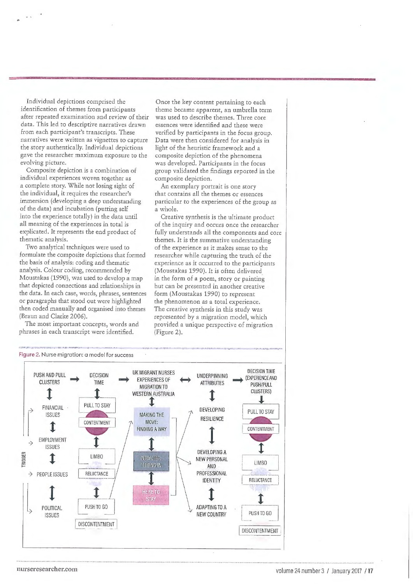Individual depictions comprised the identification of themes from participants after repeated examination and review of their data. This led to descriptive narratives drawn from each participant's transcripts. These narratives were written as vignettes to capture the story authentically. Individual depictions gave the researcher maximum exposure to the evolving picture.

Composite depiction is a combination of individual experiences woven together as a complete story. While not losing sight of the individual, it requires the researcher's immersion (developing a deep understanding of the data} and incubation (putting self into the experience totally) in the data until all meaning of the experiences in total is explicated. It represents the end product of thematic analysis.

Two analytical techniques were used to formulate the composite depictions that formed the basis of analysis: coding and thematic analysis. Colour coding, recommended by Moustakas (1990), was used to develop a map that depicted connections and relationships in the data. In each case, words, phrases, sentences or paragraphs that stood out were highlighted then coded manually and organised into themes (Braun and Clarke 2006).

The most important concepts, words and phrases in each transcript were identified.

Once the key content pertaining to each theme became apparent, an umbrella term was used to describe themes. Three core essences were identified and these were verified by participants in the focus group. Data were then considered for analysis in light of the heuristic framework and a composite depiction of the phenomena was developed. Participants in the focus group validated the findings reported in the composite depiction.

An exemplary portrait is one story that contains all the themes or essences particular to the experiences of the group as a whole.

Creative synthesis is the ultimate product of the inquiry and occurs once the researcher fully understands all the components and core themes. It is the summative understanding of the experience as it makes sense to the researcher while capturing the truth of the experience as it occurred to the participants (Moustakas 1990). It is often delivered in the form of a poem, story or painting but can be presented in another creative form (Moustakas 1990) to represent the phenomenon as a total experience. The creative synthesis in this study was represented by a migration model, which provided a unique perspective of migration (Figure 2).